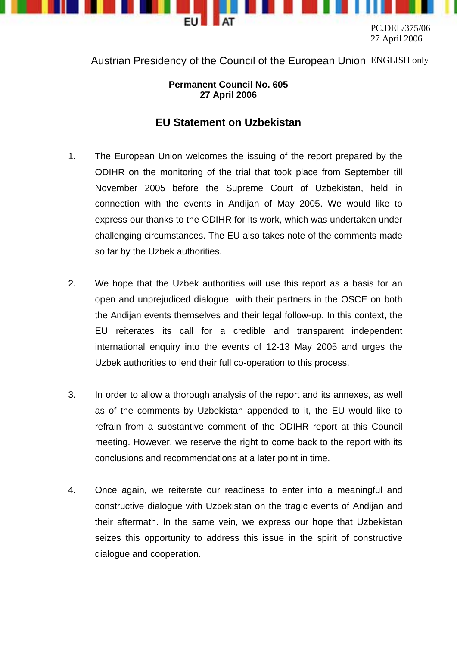

PC.DEL/375/06 27 April 2006

## Austrian Presidency of the Council of the European Union ENGLISH only

## **Permanent Council No. 605 27 April 2006**

## **EU Statement on Uzbekistan**

- 1. The European Union welcomes the issuing of the report prepared by the ODIHR on the monitoring of the trial that took place from September till November 2005 before the Supreme Court of Uzbekistan, held in connection with the events in Andijan of May 2005. We would like to express our thanks to the ODIHR for its work, which was undertaken under challenging circumstances. The EU also takes note of the comments made so far by the Uzbek authorities.
- 2. We hope that the Uzbek authorities will use this report as a basis for an open and unprejudiced dialogue with their partners in the OSCE on both the Andijan events themselves and their legal follow-up. In this context, the EU reiterates its call for a credible and transparent independent international enquiry into the events of 12-13 May 2005 and urges the Uzbek authorities to lend their full co-operation to this process.
- 3. In order to allow a thorough analysis of the report and its annexes, as well as of the comments by Uzbekistan appended to it, the EU would like to refrain from a substantive comment of the ODIHR report at this Council meeting. However, we reserve the right to come back to the report with its conclusions and recommendations at a later point in time.
- 4. Once again, we reiterate our readiness to enter into a meaningful and constructive dialogue with Uzbekistan on the tragic events of Andijan and their aftermath. In the same vein, we express our hope that Uzbekistan seizes this opportunity to address this issue in the spirit of constructive dialogue and cooperation.